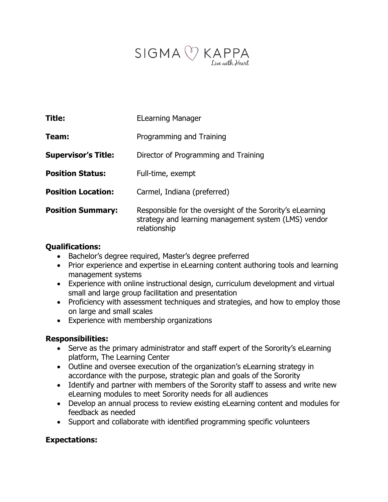

| <b>Title:</b>              | <b>ELearning Manager</b>                                                                                                          |
|----------------------------|-----------------------------------------------------------------------------------------------------------------------------------|
| Team:                      | Programming and Training                                                                                                          |
| <b>Supervisor's Title:</b> | Director of Programming and Training                                                                                              |
| <b>Position Status:</b>    | Full-time, exempt                                                                                                                 |
| <b>Position Location:</b>  | Carmel, Indiana (preferred)                                                                                                       |
| <b>Position Summary:</b>   | Responsible for the oversight of the Sorority's eLearning<br>strategy and learning management system (LMS) vendor<br>relationship |

#### **Qualifications:**

- Bachelor's degree required, Master's degree preferred
- Prior experience and expertise in eLearning content authoring tools and learning management systems
- Experience with online instructional design, curriculum development and virtual small and large group facilitation and presentation
- Proficiency with assessment techniques and strategies, and how to employ those on large and small scales
- Experience with membership organizations

### **Responsibilities:**

- Serve as the primary administrator and staff expert of the Sorority's eLearning platform, The Learning Center
- Outline and oversee execution of the organization's eLearning strategy in accordance with the purpose, strategic plan and goals of the Sorority
- Identify and partner with members of the Sorority staff to assess and write new eLearning modules to meet Sorority needs for all audiences
- Develop an annual process to review existing eLearning content and modules for feedback as needed
- Support and collaborate with identified programming specific volunteers

### **Expectations:**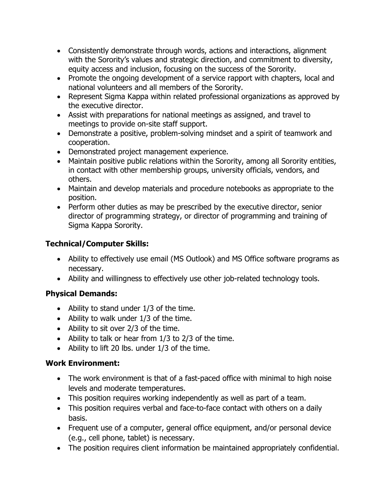- Consistently demonstrate through words, actions and interactions, alignment with the Sorority's values and strategic direction, and commitment to diversity, equity access and inclusion, focusing on the success of the Sorority.
- Promote the ongoing development of a service rapport with chapters, local and national volunteers and all members of the Sorority.
- Represent Sigma Kappa within related professional organizations as approved by the executive director.
- Assist with preparations for national meetings as assigned, and travel to meetings to provide on-site staff support.
- Demonstrate a positive, problem-solving mindset and a spirit of teamwork and cooperation.
- Demonstrated project management experience.
- Maintain positive public relations within the Sorority, among all Sorority entities, in contact with other membership groups, university officials, vendors, and others.
- Maintain and develop materials and procedure notebooks as appropriate to the position.
- Perform other duties as may be prescribed by the executive director, senior director of programming strategy, or director of programming and training of Sigma Kappa Sorority.

# **Technical/Computer Skills:**

- Ability to effectively use email (MS Outlook) and MS Office software programs as necessary.
- Ability and willingness to effectively use other job-related technology tools.

## **Physical Demands:**

- Ability to stand under 1/3 of the time.
- Ability to walk under 1/3 of the time.
- Ability to sit over 2/3 of the time.
- Ability to talk or hear from 1/3 to 2/3 of the time.
- Ability to lift 20 lbs. under 1/3 of the time.

### **Work Environment:**

- The work environment is that of a fast-paced office with minimal to high noise levels and moderate temperatures.
- This position requires working independently as well as part of a team.
- This position requires verbal and face-to-face contact with others on a daily basis.
- Frequent use of a computer, general office equipment, and/or personal device (e.g., cell phone, tablet) is necessary.
- The position requires client information be maintained appropriately confidential.